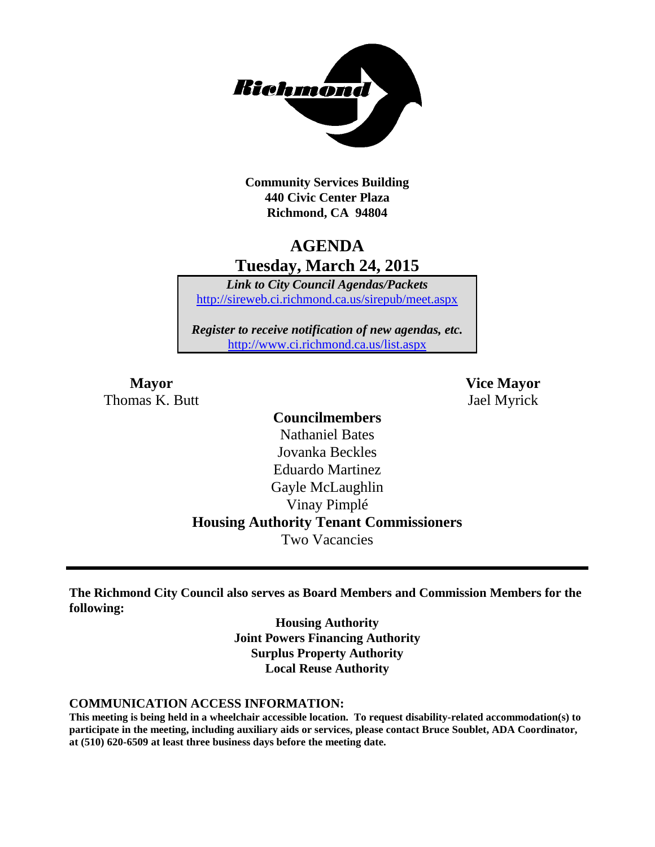

**Community Services Building 440 Civic Center Plaza Richmond, CA 94804**

## **AGENDA Tuesday, March 24, 2015**

*Link to City Council Agendas/Packets* <http://sireweb.ci.richmond.ca.us/sirepub/meet.aspx>

*Register to receive notification of new agendas, etc.* <http://www.ci.richmond.ca.us/list.aspx>

Thomas K. Butt Jael Myrick

**Mayor Vice Mayor**

### **Councilmembers**

Nathaniel Bates Jovanka Beckles Eduardo Martinez Gayle McLaughlin Vinay Pimplé **Housing Authority Tenant Commissioners** Two Vacancies

**The Richmond City Council also serves as Board Members and Commission Members for the following:**

> **Housing Authority Joint Powers Financing Authority Surplus Property Authority Local Reuse Authority**

#### **COMMUNICATION ACCESS INFORMATION:**

**This meeting is being held in a wheelchair accessible location. To request disability-related accommodation(s) to participate in the meeting, including auxiliary aids or services, please contact Bruce Soublet, ADA Coordinator, at (510) 620-6509 at least three business days before the meeting date.**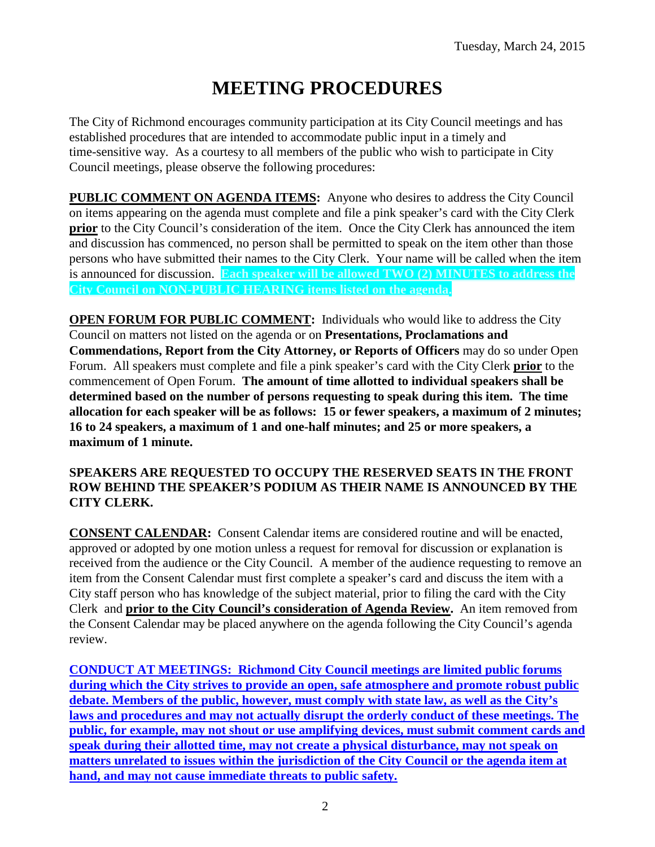# **MEETING PROCEDURES**

The City of Richmond encourages community participation at its City Council meetings and has established procedures that are intended to accommodate public input in a timely and time-sensitive way. As a courtesy to all members of the public who wish to participate in City Council meetings, please observe the following procedures:

**PUBLIC COMMENT ON AGENDA ITEMS:** Anyone who desires to address the City Council on items appearing on the agenda must complete and file a pink speaker's card with the City Clerk **prior** to the City Council's consideration of the item. Once the City Clerk has announced the item and discussion has commenced, no person shall be permitted to speak on the item other than those persons who have submitted their names to the City Clerk. Your name will be called when the item is announced for discussion. **Each speaker will be allowed TWO (2) MINUTES to address the City Council on NON-PUBLIC HEARING items listed on the agenda.**

**OPEN FORUM FOR PUBLIC COMMENT:** Individuals who would like to address the City Council on matters not listed on the agenda or on **Presentations, Proclamations and Commendations, Report from the City Attorney, or Reports of Officers** may do so under Open Forum. All speakers must complete and file a pink speaker's card with the City Clerk **prior** to the commencement of Open Forum. **The amount of time allotted to individual speakers shall be determined based on the number of persons requesting to speak during this item. The time allocation for each speaker will be as follows: 15 or fewer speakers, a maximum of 2 minutes; 16 to 24 speakers, a maximum of 1 and one-half minutes; and 25 or more speakers, a maximum of 1 minute.**

#### **SPEAKERS ARE REQUESTED TO OCCUPY THE RESERVED SEATS IN THE FRONT ROW BEHIND THE SPEAKER'S PODIUM AS THEIR NAME IS ANNOUNCED BY THE CITY CLERK.**

**CONSENT CALENDAR:** Consent Calendar items are considered routine and will be enacted, approved or adopted by one motion unless a request for removal for discussion or explanation is received from the audience or the City Council. A member of the audience requesting to remove an item from the Consent Calendar must first complete a speaker's card and discuss the item with a City staff person who has knowledge of the subject material, prior to filing the card with the City Clerk and **prior to the City Council's consideration of Agenda Review.** An item removed from the Consent Calendar may be placed anywhere on the agenda following the City Council's agenda review.

**CONDUCT AT MEETINGS: Richmond City Council meetings are limited public forums during which the City strives to provide an open, safe atmosphere and promote robust public debate. Members of the public, however, must comply with state law, as well as the City's laws and procedures and may not actually disrupt the orderly conduct of these meetings. The public, for example, may not shout or use amplifying devices, must submit comment cards and speak during their allotted time, may not create a physical disturbance, may not speak on matters unrelated to issues within the jurisdiction of the City Council or the agenda item at hand, and may not cause immediate threats to public safety.**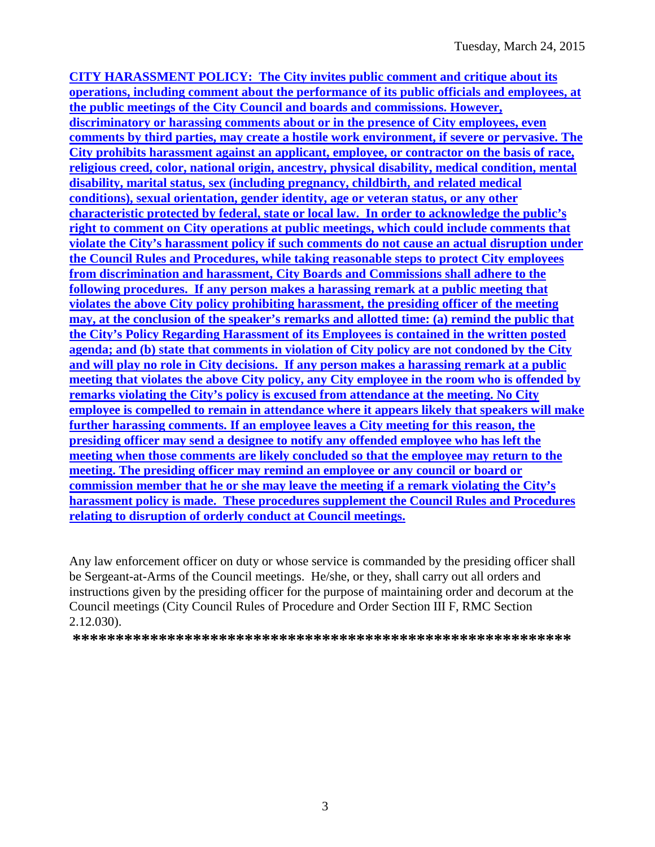**CITY HARASSMENT POLICY: The City invites public comment and critique about its operations, including comment about the performance of its public officials and employees, at the public meetings of the City Council and boards and commissions. However, discriminatory or harassing comments about or in the presence of City employees, even comments by third parties, may create a hostile work environment, if severe or pervasive. The City prohibits harassment against an applicant, employee, or contractor on the basis of race, religious creed, color, national origin, ancestry, physical disability, medical condition, mental disability, marital status, sex (including pregnancy, childbirth, and related medical conditions), sexual orientation, gender identity, age or veteran status, or any other characteristic protected by federal, state or local law. In order to acknowledge the public's right to comment on City operations at public meetings, which could include comments that violate the City's harassment policy if such comments do not cause an actual disruption under the Council Rules and Procedures, while taking reasonable steps to protect City employees from discrimination and harassment, City Boards and Commissions shall adhere to the following procedures. If any person makes a harassing remark at a public meeting that violates the above City policy prohibiting harassment, the presiding officer of the meeting may, at the conclusion of the speaker's remarks and allotted time: (a) remind the public that the City's Policy Regarding Harassment of its Employees is contained in the written posted agenda; and (b) state that comments in violation of City policy are not condoned by the City and will play no role in City decisions. If any person makes a harassing remark at a public meeting that violates the above City policy, any City employee in the room who is offended by remarks violating the City's policy is excused from attendance at the meeting. No City employee is compelled to remain in attendance where it appears likely that speakers will make further harassing comments. If an employee leaves a City meeting for this reason, the presiding officer may send a designee to notify any offended employee who has left the meeting when those comments are likely concluded so that the employee may return to the meeting. The presiding officer may remind an employee or any council or board or commission member that he or she may leave the meeting if a remark violating the City's harassment policy is made. These procedures supplement the Council Rules and Procedures relating to disruption of orderly conduct at Council meetings.**

Any law enforcement officer on duty or whose service is commanded by the presiding officer shall be Sergeant-at-Arms of the Council meetings. He/she, or they, shall carry out all orders and instructions given by the presiding officer for the purpose of maintaining order and decorum at the Council meetings (City Council Rules of Procedure and Order Section III F, RMC Section 2.12.030).

**\*\*\*\*\*\*\*\*\*\*\*\*\*\*\*\*\*\*\*\*\*\*\*\*\*\*\*\*\*\*\*\*\*\*\*\*\*\*\*\*\*\*\*\*\*\*\*\*\*\*\*\*\*\*\*\*\*\***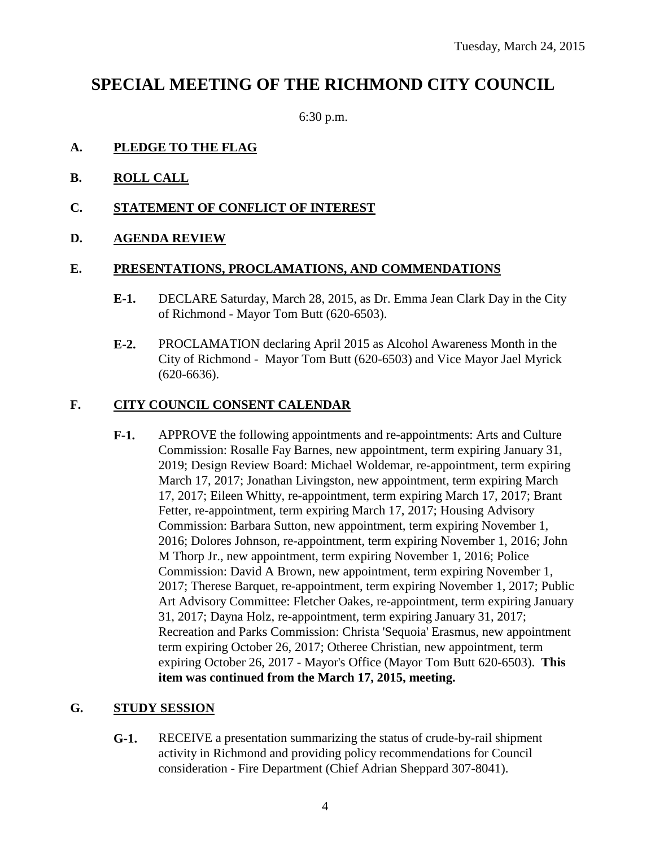## **SPECIAL MEETING OF THE RICHMOND CITY COUNCIL**

6:30 p.m.

#### **A. PLEDGE TO THE FLAG**

- **B. ROLL CALL**
- **C. STATEMENT OF CONFLICT OF INTEREST**
- **D. AGENDA REVIEW**

#### **E. PRESENTATIONS, PROCLAMATIONS, AND COMMENDATIONS**

- **E-1.** DECLARE Saturday, March 28, 2015, as Dr. Emma Jean Clark Day in the City of Richmond - Mayor Tom Butt (620-6503).
- **E-2.** PROCLAMATION declaring April 2015 as Alcohol Awareness Month in the City of Richmond - Mayor Tom Butt (620-6503) and Vice Mayor Jael Myrick (620-6636).

#### **F. CITY COUNCIL CONSENT CALENDAR**

**F-1.** APPROVE the following appointments and re-appointments: Arts and Culture Commission: Rosalle Fay Barnes, new appointment, term expiring January 31, 2019; Design Review Board: Michael Woldemar, re-appointment, term expiring March 17, 2017; Jonathan Livingston, new appointment, term expiring March 17, 2017; Eileen Whitty, re-appointment, term expiring March 17, 2017; Brant Fetter, re-appointment, term expiring March 17, 2017; Housing Advisory Commission: Barbara Sutton, new appointment, term expiring November 1, 2016; Dolores Johnson, re-appointment, term expiring November 1, 2016; John M Thorp Jr., new appointment, term expiring November 1, 2016; Police Commission: David A Brown, new appointment, term expiring November 1, 2017; Therese Barquet, re-appointment, term expiring November 1, 2017; Public Art Advisory Committee: Fletcher Oakes, re-appointment, term expiring January 31, 2017; Dayna Holz, re-appointment, term expiring January 31, 2017; Recreation and Parks Commission: Christa 'Sequoia' Erasmus, new appointment term expiring October 26, 2017; Otheree Christian, new appointment, term expiring October 26, 2017 - Mayor's Office (Mayor Tom Butt 620-6503). **This item was continued from the March 17, 2015, meeting.**

#### **G. STUDY SESSION**

**G-1.** RECEIVE a presentation summarizing the status of crude-by-rail shipment activity in Richmond and providing policy recommendations for Council consideration - Fire Department (Chief Adrian Sheppard 307-8041).